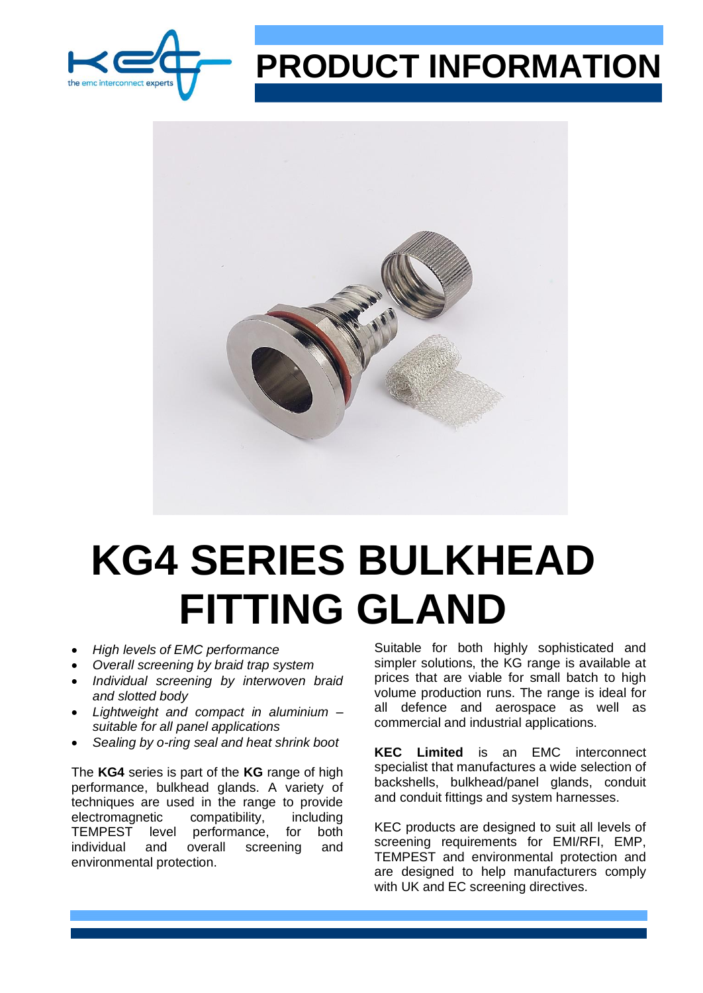

## **PRODUCT INFORMATION**



# **KG4 SERIES BULKHEAD FITTING GLAND**

- *High levels of EMC performance*
- *Overall screening by braid trap system*
- *Individual screening by interwoven braid and slotted body*
- *Lightweight and compact in aluminium – suitable for all panel applications*
- *Sealing by o-ring seal and heat shrink boot*

The **KG4** series is part of the **KG** range of high performance, bulkhead glands. A variety of techniques are used in the range to provide electromagnetic compatibility, including TEMPEST level performance, for both individual and overall screening and environmental protection.

Suitable for both highly sophisticated and simpler solutions, the KG range is available at prices that are viable for small batch to high volume production runs. The range is ideal for all defence and aerospace as well as commercial and industrial applications.

**KEC Limited** is an EMC interconnect specialist that manufactures a wide selection of backshells, bulkhead/panel glands, conduit and conduit fittings and system harnesses.

KEC products are designed to suit all levels of screening requirements for EMI/RFI, EMP, TEMPEST and environmental protection and are designed to help manufacturers comply with UK and EC screening directives.